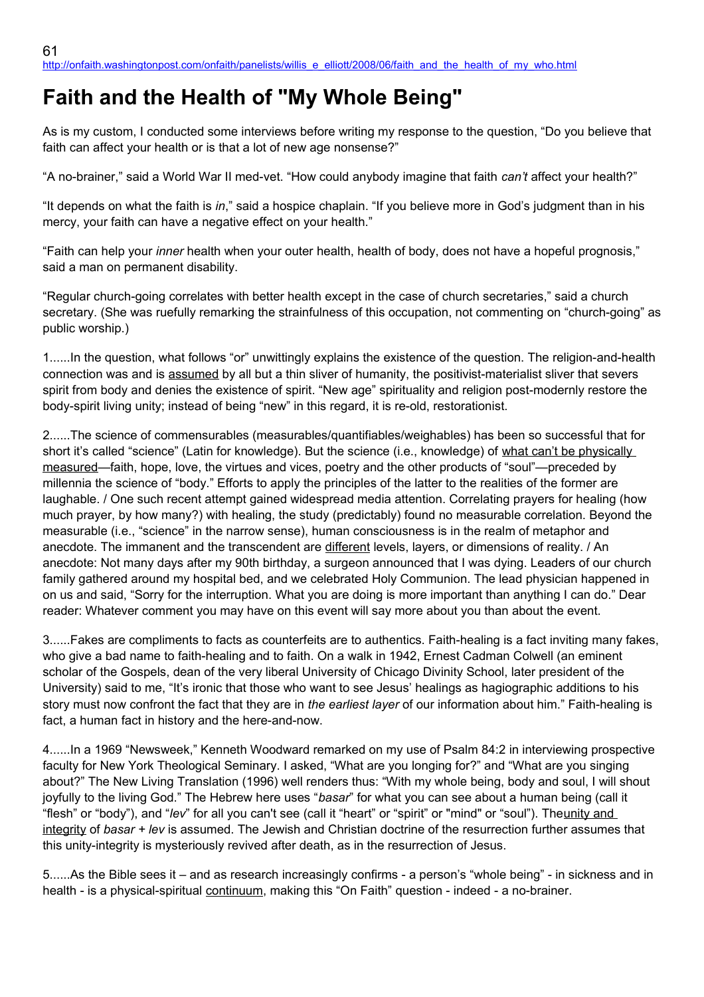## **Faith and the Health of "My Whole Being"**

As is my custom, I conducted some interviews before writing my response to the question, "Do you believe that faith can affect your health or is that a lot of new age nonsense?"

"A no-brainer," said a World War II med-vet. "How could anybody imagine that faith *can't* affect your health?"

"It depends on what the faith is *in*," said a hospice chaplain. "If you believe more in God's judgment than in his mercy, your faith can have a negative effect on your health."

"Faith can help your *inner* health when your outer health, health of body, does not have a hopeful prognosis," said a man on permanent disability.

"Regular church-going correlates with better health except in the case of church secretaries," said a church secretary. (She was ruefully remarking the strainfulness of this occupation, not commenting on "church-going" as public worship.)

1......In the question, what follows "or" unwittingly explains the existence of the question. The religion-and-health connection was and is assumed by all but a thin sliver of humanity, the positivist-materialist sliver that severs spirit from body and denies the existence of spirit. "New age" spirituality and religion post-modernly restore the body-spirit living unity; instead of being "new" in this regard, it is re-old, restorationist.

2......The science of commensurables (measurables/quantifiables/weighables) has been so successful that for short it's called "science" (Latin for knowledge). But the science (i.e., knowledge) of what can't be physically measured—faith, hope, love, the virtues and vices, poetry and the other products of "soul"—preceded by millennia the science of "body." Efforts to apply the principles of the latter to the realities of the former are laughable. / One such recent attempt gained widespread media attention. Correlating prayers for healing (how much prayer, by how many?) with healing, the study (predictably) found no measurable correlation. Beyond the measurable (i.e., "science" in the narrow sense), human consciousness is in the realm of metaphor and anecdote. The immanent and the transcendent are different levels, layers, or dimensions of reality. / An anecdote: Not many days after my 90th birthday, a surgeon announced that I was dying. Leaders of our church family gathered around my hospital bed, and we celebrated Holy Communion. The lead physician happened in on us and said, "Sorry for the interruption. What you are doing is more important than anything I can do." Dear reader: Whatever comment you may have on this event will say more about you than about the event.

3......Fakes are compliments to facts as counterfeits are to authentics. Faith-healing is a fact inviting many fakes, who give a bad name to faith-healing and to faith. On a walk in 1942, Ernest Cadman Colwell (an eminent scholar of the Gospels, dean of the very liberal University of Chicago Divinity School, later president of the University) said to me, "It's ironic that those who want to see Jesus' healings as hagiographic additions to his story must now confront the fact that they are in *the earliest layer* of our information about him." Faith-healing is fact, a human fact in history and the here-and-now.

4......In a 1969 "Newsweek," Kenneth Woodward remarked on my use of Psalm 84:2 in interviewing prospective faculty for New York Theological Seminary. I asked, "What are you longing for?" and "What are you singing about?" The New Living Translation (1996) well renders thus: "With my whole being, body and soul, I will shout joyfully to the living God." The Hebrew here uses "*basar*" for what you can see about a human being (call it "flesh" or "body"), and "*lev*" for all you can't see (call it "heart" or "spirit" or "mind" or "soul"). Theunity and integrity of *basar + lev* is assumed. The Jewish and Christian doctrine of the resurrection further assumes that this unity-integrity is mysteriously revived after death, as in the resurrection of Jesus.

5......As the Bible sees it – and as research increasingly confirms - a person's "whole being" - in sickness and in health - is a physical-spiritual continuum, making this "On Faith" question - indeed - a no-brainer.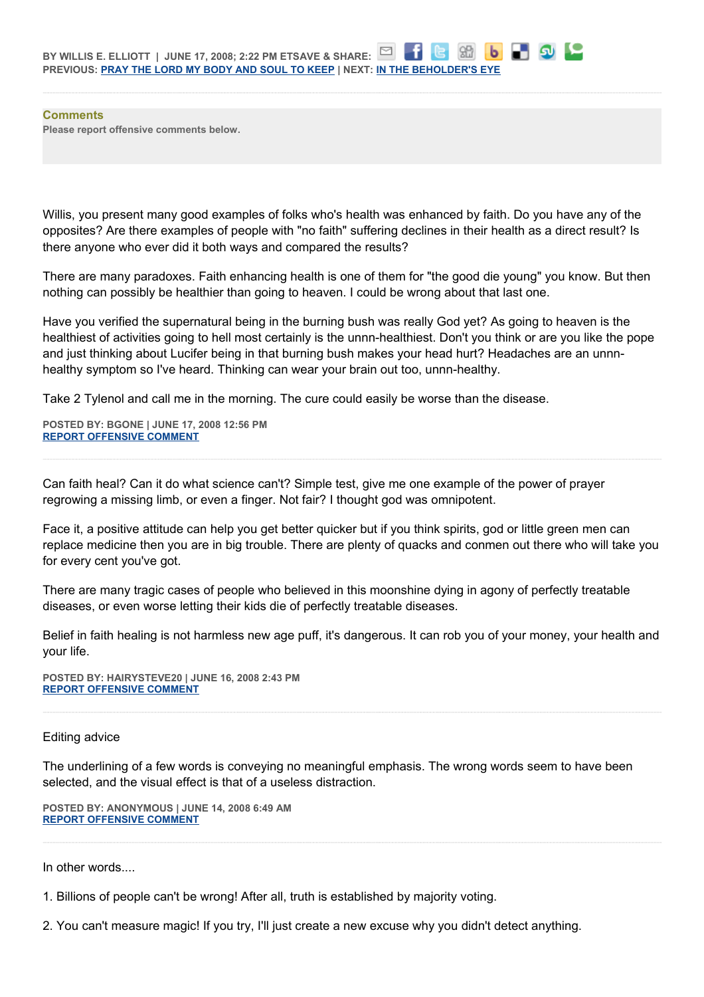**Comments Please report offensive comments below.**

Willis, you present many good examples of folks who's health was enhanced by faith. Do you have any of the opposites? Are there examples of people with "no faith" suffering declines in their health as a direct result? Is there anyone who ever did it both ways and compared the results?

There are many paradoxes. Faith enhancing health is one of them for "the good die young" you know. But then nothing can possibly be healthier than going to heaven. I could be wrong about that last one.

Have you verified the supernatural being in the burning bush was really God yet? As going to heaven is the healthiest of activities going to hell most certainly is the unnn-healthiest. Don't you think or are you like the pope and just thinking about Lucifer being in that burning bush makes your head hurt? Headaches are an unnnhealthy symptom so I've heard. Thinking can wear your brain out too, unnn-healthy.

Take 2 Tylenol and call me in the morning. The cure could easily be worse than the disease.

**POSTED BY: BGONE | JUNE 17, 2008 12:56 PM [REPORT OFFENSIVE COMMENT](mailto:blogs@washingtonpost.com?subject=On%20Faith%20Panelists%20Blog%20%20%7C%20%20BGone%20%20%7C%20%20Faith%20and%20the%20Health%20of)**

Can faith heal? Can it do what science can't? Simple test, give me one example of the power of prayer regrowing a missing limb, or even a finger. Not fair? I thought god was omnipotent.

Face it, a positive attitude can help you get better quicker but if you think spirits, god or little green men can replace medicine then you are in big trouble. There are plenty of quacks and conmen out there who will take you for every cent you've got.

There are many tragic cases of people who believed in this moonshine dying in agony of perfectly treatable diseases, or even worse letting their kids die of perfectly treatable diseases.

Belief in faith healing is not harmless new age puff, it's dangerous. It can rob you of your money, your health and your life.

**POSTED BY: HAIRYSTEVE20 | JUNE 16, 2008 2:43 PM [REPORT OFFENSIVE COMMENT](mailto:blogs@washingtonpost.com?subject=On%20Faith%20Panelists%20Blog%20%20%7C%20%20hairysteve20%20%20%7C%20%20Faith%20and%20the%20Health%20of)**

## Editing advice

The underlining of a few words is conveying no meaningful emphasis. The wrong words seem to have been selected, and the visual effect is that of a useless distraction.

**POSTED BY: ANONYMOUS | JUNE 14, 2008 6:49 AM [REPORT OFFENSIVE COMMENT](mailto:blogs@washingtonpost.com?subject=On%20Faith%20Panelists%20Blog%20%20%7C%20%20Anonymous%20%20%7C%20%20Faith%20and%20the%20Health%20of)**

In other words....

1. Billions of people can't be wrong! After all, truth is established by majority voting.

2. You can't measure magic! If you try, I'll just create a new excuse why you didn't detect anything.